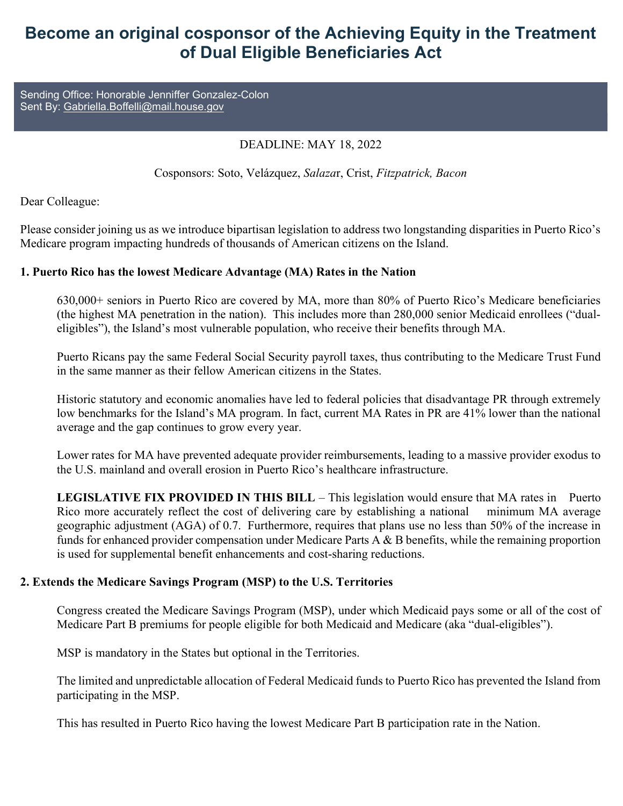## Become an original cosponsor of the Achieving Equity in the Treatment of Dual Eligible Beneficiaries Act

Sending Office: Honorable Jenniffer Gonzalez-Colon Sent By: Gabriella.Boffelli@mail.house.gov

## DEADLINE: MAY 18, 2022

Cosponsors: Soto, Velázquez, Salazar, Crist, Fitzpatrick, Bacon

Dear Colleague:

Please consider joining us as we introduce bipartisan legislation to address two longstanding disparities in Puerto Rico's Medicare program impacting hundreds of thousands of American citizens on the Island.

## 1. Puerto Rico has the lowest Medicare Advantage (MA) Rates in the Nation

630,000+ seniors in Puerto Rico are covered by MA, more than 80% of Puerto Rico's Medicare beneficiaries (the highest MA penetration in the nation). This includes more than 280,000 senior Medicaid enrollees ("dualeligibles"), the Island's most vulnerable population, who receive their benefits through MA.

Puerto Ricans pay the same Federal Social Security payroll taxes, thus contributing to the Medicare Trust Fund in the same manner as their fellow American citizens in the States.

Historic statutory and economic anomalies have led to federal policies that disadvantage PR through extremely low benchmarks for the Island's MA program. In fact, current MA Rates in PR are 41% lower than the national average and the gap continues to grow every year.

Lower rates for MA have prevented adequate provider reimbursements, leading to a massive provider exodus to the U.S. mainland and overall erosion in Puerto Rico's healthcare infrastructure.

LEGISLATIVE FIX PROVIDED IN THIS BILL – This legislation would ensure that MA rates in Puerto Rico more accurately reflect the cost of delivering care by establishing a national minimum MA average geographic adjustment (AGA) of 0.7. Furthermore, requires that plans use no less than 50% of the increase in funds for enhanced provider compensation under Medicare Parts A & B benefits, while the remaining proportion is used for supplemental benefit enhancements and cost-sharing reductions.

## 2. Extends the Medicare Savings Program (MSP) to the U.S. Territories

Congress created the Medicare Savings Program (MSP), under which Medicaid pays some or all of the cost of Medicare Part B premiums for people eligible for both Medicaid and Medicare (aka "dual-eligibles").

MSP is mandatory in the States but optional in the Territories.

The limited and unpredictable allocation of Federal Medicaid funds to Puerto Rico has prevented the Island from participating in the MSP.

This has resulted in Puerto Rico having the lowest Medicare Part B participation rate in the Nation.